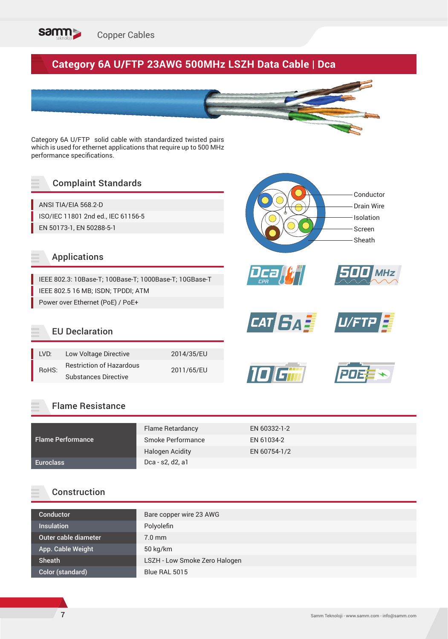

# **Category 6A U/FTP 23AWG 500MHz LSZH Data Cable | Dca**



*Dca CPR*

**10** 

Category 6A U/FTP solid cable with standardized twisted pairs which is used for ethernet applications that require up to 500 MHz performance specifications.

## Complaint Standards

ANSI TIA/EIA 568.2-D ISO/IEC 11801 2nd ed., IEC 61156-5 EN 50173-1, EN 50288-5-1

#### Applications

IEEE 802.3: 10Base-T; 100Base-T; 1000Base-T; 10GBase-T IEEE 802.5 16 MB; ISDN; TPDDI; ATM Power over Ethernet (PoE) / PoE+

## EU Declaration

| I VD: | Low Voltage Directive           | 2014/35/EU |
|-------|---------------------------------|------------|
| RoHS: | <b>Restriction of Hazardous</b> | 2011/65/EU |
|       | <b>Substances Directive</b>     |            |



|                          | Flame Retardancy       | EN 60332-1-2 |
|--------------------------|------------------------|--------------|
| <b>Flame Performance</b> | Smoke Performance      | EN 61034-2   |
|                          | <b>Halogen Acidity</b> | EN 60754-1/2 |
| Euroclass                | Dca - s2, d2, a1       |              |

#### Construction

| Conductor            | Bare copper wire 23 AWG       |
|----------------------|-------------------------------|
| <b>Insulation</b>    | Polyolefin                    |
| Outer cable diameter | $7.0$ mm                      |
| App. Cable Weight    | $50 \text{ kg/km}$            |
| Sheath               | LSZH - Low Smoke Zero Halogen |
| Color (standard)     | Blue RAL 5015                 |

Conductor Drain Wire Isolation Screen Sheath

*500 MHz*

*CAT <b>BA I U/FTP*